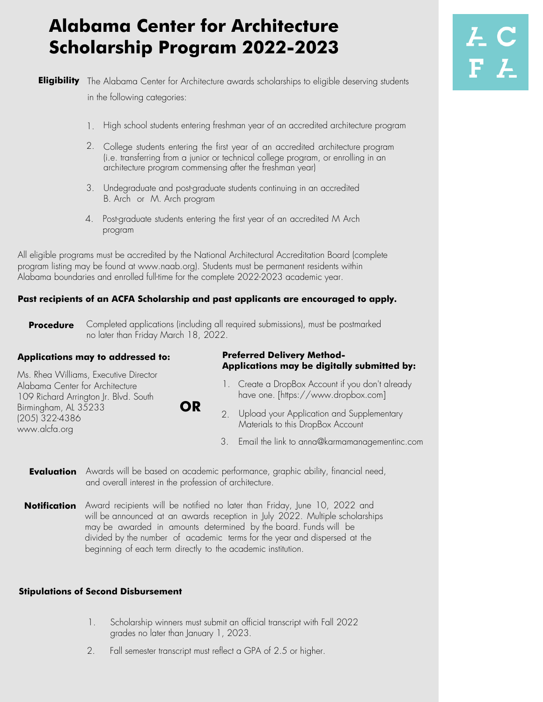# **Alabama Center for Architecture Scholarship Program 2022-2023**

**Eligibility** The Alabama Center for Architecture awards scholarships to eligible deserving students in the following categories:

- 1. High school students entering freshman year of an accredited architecture program
- 2. College students entering the first year of an accredited architecture program (i.e. transferring from a junior or technical college program, or enrolling in an architecture program commensing after the freshman year)
- 3. Undegraduate and post-graduate students continuing in an accredited B. Arch or M. Arch program
- 4. Post-graduate students entering the first year of an accredited M Arch program

All eligible programs must be accredited by the National Architectural Accreditation Board (complete program listing may be found at www.naab.org). Students must be permanent residents within Alabama boundaries and enrolled full-time for the complete 2022-2023 academic year.

### **Past recipients of an ACFA Scholarship and past applicants are encouraged to apply.**

**Procedure**  Completed applications (including all required submissions), must be postmarked no later than Friday March 18, 2022.

### **Applications may to addressed to:**

Ms. Rhea Williams, Executive Director Alabama Center for Architecture 109 Richard Arrington Jr. Blvd. South Birmingham, AL 35233 (205) 322-4386 www.alcfa.org

**OR**

#### **Preferred Delivery Method-Applications may be digitally submitted by:**

- 1. Create a DropBox Account if you don't already have one. [https://www.dropbox.com]
- 2. Upload your Application and Supplementary Materials to this DropBox Account
	- 3. Email the link to anna@karmamanagementinc.com

**Evaluation** Awards will be based on academic performance, graphic ability, financial need, and overall interest in the profession of architecture.

**Notification** Award recipients will be notified no later than Friday, June 10, 2022 and will be announced at an awards reception in July 2022. Multiple scholarships may be awarded in amounts determined by the board. Funds will be divided by the number of academic terms for the year and dispersed at the beginning of each term directly to the academic institution.

#### **Stipulations of Second Disbursement**

- 1. Scholarship winners must submit an official transcript with Fall 2022 grades no later than January 1, 2023.
- 2. Fall semester transcript must reflect a GPA of 2.5 or higher.